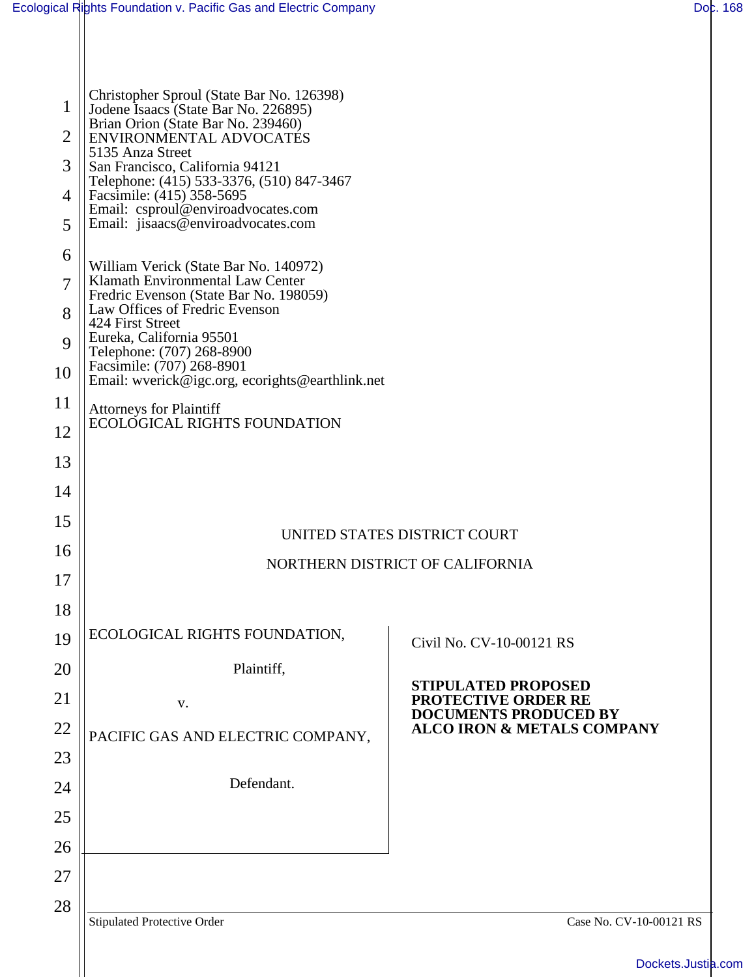| $\mathbf{1}$<br>2<br>3<br>4<br>5<br>6<br>$\overline{7}$<br>8<br>9<br>10 | Christopher Sproul (State Bar No. 126398)<br>Jodene Isaacs (State Bar No. 226895)<br>Brian Orion (State Bar No. 239460)<br><b>ENVIRONMENTAL ADVOCATES</b><br>5135 Anza Street<br>San Francisco, California 94121<br>Telephone: (415) 533-3376, (510) 847-3467<br>Facsimile: (415) 358-5695<br>Email: csproul@enviroadvocates.com<br>Email: jisaacs@enviroadvocates.com<br>William Verick (State Bar No. 140972)<br>Klamath Environmental Law Center<br>Fredric Evenson (State Bar No. 198059)<br>Law Offices of Fredric Evenson<br>424 First Street<br>Eureka, California 95501<br>Telephone: (707) 268-8900<br>Facsimile: (707) 268-8901<br>Email: wverick@igc.org, ecorights@earthlink.net |                                                                                          |  |  |  |
|-------------------------------------------------------------------------|----------------------------------------------------------------------------------------------------------------------------------------------------------------------------------------------------------------------------------------------------------------------------------------------------------------------------------------------------------------------------------------------------------------------------------------------------------------------------------------------------------------------------------------------------------------------------------------------------------------------------------------------------------------------------------------------|------------------------------------------------------------------------------------------|--|--|--|
| 11                                                                      | <b>Attorneys for Plaintiff</b><br>ECOLOGICAL RIGHTS FOUNDATION                                                                                                                                                                                                                                                                                                                                                                                                                                                                                                                                                                                                                               |                                                                                          |  |  |  |
| 12                                                                      |                                                                                                                                                                                                                                                                                                                                                                                                                                                                                                                                                                                                                                                                                              |                                                                                          |  |  |  |
| 13                                                                      |                                                                                                                                                                                                                                                                                                                                                                                                                                                                                                                                                                                                                                                                                              |                                                                                          |  |  |  |
| 14                                                                      |                                                                                                                                                                                                                                                                                                                                                                                                                                                                                                                                                                                                                                                                                              |                                                                                          |  |  |  |
| 15<br>16                                                                | UNITED STATES DISTRICT COURT                                                                                                                                                                                                                                                                                                                                                                                                                                                                                                                                                                                                                                                                 |                                                                                          |  |  |  |
| 17                                                                      | NORTHERN DISTRICT OF CALIFORNIA                                                                                                                                                                                                                                                                                                                                                                                                                                                                                                                                                                                                                                                              |                                                                                          |  |  |  |
| 18                                                                      |                                                                                                                                                                                                                                                                                                                                                                                                                                                                                                                                                                                                                                                                                              |                                                                                          |  |  |  |
| 19                                                                      | ECOLOGICAL RIGHTS FOUNDATION,                                                                                                                                                                                                                                                                                                                                                                                                                                                                                                                                                                                                                                                                | Civil No. CV-10-00121 RS                                                                 |  |  |  |
| 20                                                                      | Plaintiff,                                                                                                                                                                                                                                                                                                                                                                                                                                                                                                                                                                                                                                                                                   |                                                                                          |  |  |  |
| 21                                                                      | V.                                                                                                                                                                                                                                                                                                                                                                                                                                                                                                                                                                                                                                                                                           | <b>STIPULATED PROPOSED</b><br><b>PROTECTIVE ORDER RE</b><br><b>DOCUMENTS PRODUCED BY</b> |  |  |  |
| 22                                                                      | PACIFIC GAS AND ELECTRIC COMPANY,                                                                                                                                                                                                                                                                                                                                                                                                                                                                                                                                                                                                                                                            | <b>ALCO IRON &amp; METALS COMPANY</b>                                                    |  |  |  |
| 23                                                                      |                                                                                                                                                                                                                                                                                                                                                                                                                                                                                                                                                                                                                                                                                              |                                                                                          |  |  |  |
| 24                                                                      | Defendant.                                                                                                                                                                                                                                                                                                                                                                                                                                                                                                                                                                                                                                                                                   |                                                                                          |  |  |  |
| 25                                                                      |                                                                                                                                                                                                                                                                                                                                                                                                                                                                                                                                                                                                                                                                                              |                                                                                          |  |  |  |
| 26                                                                      |                                                                                                                                                                                                                                                                                                                                                                                                                                                                                                                                                                                                                                                                                              |                                                                                          |  |  |  |
| 27                                                                      |                                                                                                                                                                                                                                                                                                                                                                                                                                                                                                                                                                                                                                                                                              |                                                                                          |  |  |  |
| 28                                                                      | <b>Stipulated Protective Order</b>                                                                                                                                                                                                                                                                                                                                                                                                                                                                                                                                                                                                                                                           | Case No. CV-10-00121 RS                                                                  |  |  |  |
|                                                                         |                                                                                                                                                                                                                                                                                                                                                                                                                                                                                                                                                                                                                                                                                              |                                                                                          |  |  |  |
|                                                                         |                                                                                                                                                                                                                                                                                                                                                                                                                                                                                                                                                                                                                                                                                              | Dockets.Jus                                                                              |  |  |  |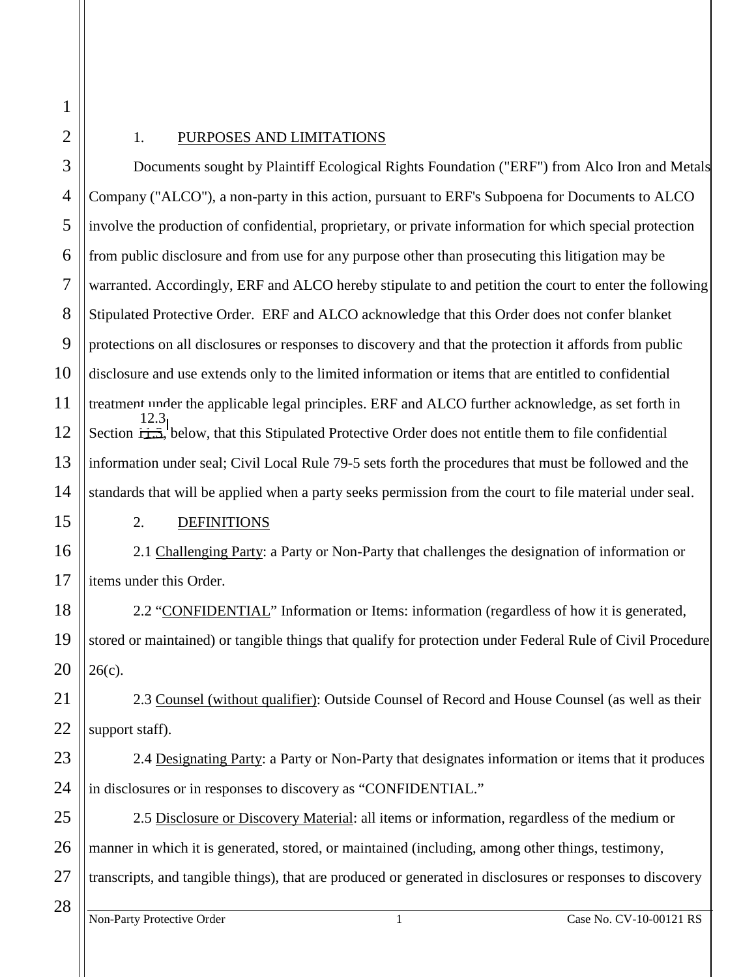1

2

3

4

5

6

7

8

9

10

11

### 1. PURPOSES AND LIMITATIONS

 Documents sought by Plaintiff Ecological Rights Foundation ("ERF") from Alco Iron and Metals Company ("ALCO"), a non-party in this action, pursuant to ERF's Subpoena for Documents to ALCO involve the production of confidential, proprietary, or private information for which special protection from public disclosure and from use for any purpose other than prosecuting this litigation may be warranted. Accordingly, ERF and ALCO hereby stipulate to and petition the court to enter the following Stipulated Protective Order. ERF and ALCO acknowledge that this Order does not confer blanket protections on all disclosures or responses to discovery and that the protection it affords from public disclosure and use extends only to the limited information or items that are entitled to confidential treatment under the applicable legal principles. ERF and ALCO further acknowledge, as set forth in Section  $\widehat{11}$ . below, that this Stipulated Protective Order does not entitle them to file confidential information under seal; Civil Local Rule 79-5 sets forth the procedures that must be followed and the standards that will be applied when a party seeks permission from the court to file material under seal. 12.3

2. DEFINITIONS

 2.1 Challenging Party: a Party or Non-Party that challenges the designation of information or items under this Order.

 2.2 "CONFIDENTIAL" Information or Items: information (regardless of how it is generated, stored or maintained) or tangible things that qualify for protection under Federal Rule of Civil Procedure  $26(c)$ .

 2.3 Counsel (without qualifier): Outside Counsel of Record and House Counsel (as well as their support staff).

2.4 Designating Party: a Party or Non-Party that designates information or items that it produces in disclosures or in responses to discovery as "CONFIDENTIAL."

2.5 Disclosure or Discovery Material: all items or information, regardless of the medium or manner in which it is generated, stored, or maintained (including, among other things, testimony, transcripts, and tangible things), that are produced or generated in disclosures or responses to discovery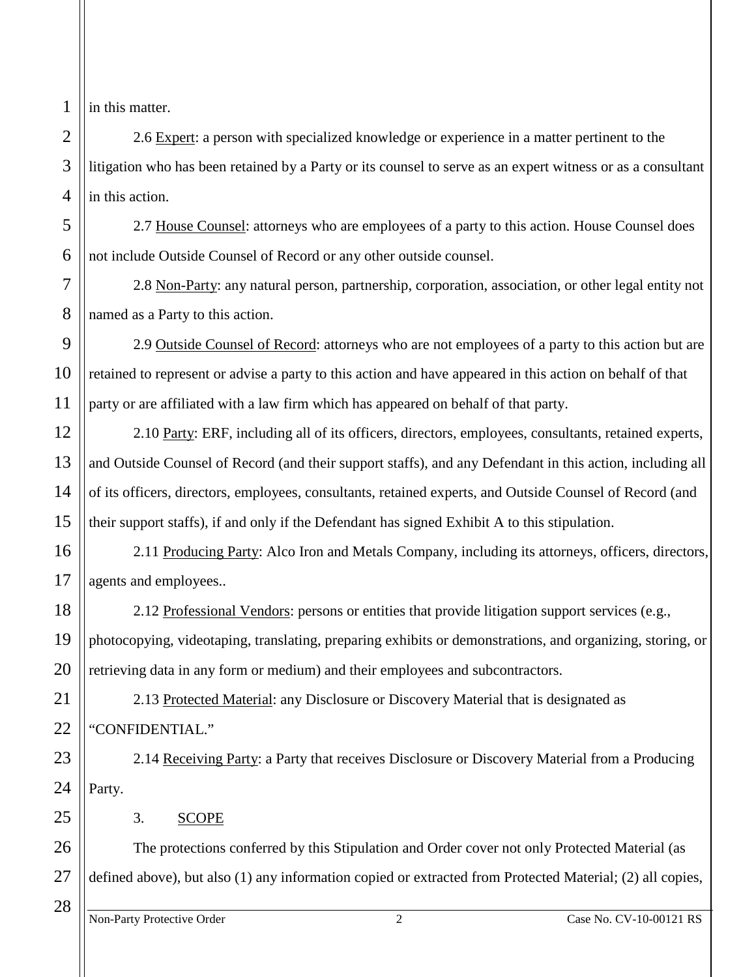in this matter.

1

 2.6 Expert: a person with specialized knowledge or experience in a matter pertinent to the litigation who has been retained by a Party or its counsel to serve as an expert witness or as a consultant in this action.

2.7 House Counsel: attorneys who are employees of a party to this action. House Counsel does not include Outside Counsel of Record or any other outside counsel.

 2.8 Non-Party: any natural person, partnership, corporation, association, or other legal entity not named as a Party to this action.

2.9 Outside Counsel of Record: attorneys who are not employees of a party to this action but are retained to represent or advise a party to this action and have appeared in this action on behalf of that party or are affiliated with a law firm which has appeared on behalf of that party.

2.10 Party: ERF, including all of its officers, directors, employees, consultants, retained experts, and Outside Counsel of Record (and their support staffs), and any Defendant in this action, including all of its officers, directors, employees, consultants, retained experts, and Outside Counsel of Record (and their support staffs), if and only if the Defendant has signed Exhibit A to this stipulation.

2.11 Producing Party: Alco Iron and Metals Company, including its attorneys, officers, directors, agents and employees..

 2.12 Professional Vendors: persons or entities that provide litigation support services (e.g., photocopying, videotaping, translating, preparing exhibits or demonstrations, and organizing, storing, or retrieving data in any form or medium) and their employees and subcontractors.

 2.13 Protected Material: any Disclosure or Discovery Material that is designated as "CONFIDENTIAL."

2.14 Receiving Party: a Party that receives Disclosure or Discovery Material from a Producing Party.

 3. SCOPE

 The protections conferred by this Stipulation and Order cover not only Protected Material (as defined above), but also (1) any information copied or extracted from Protected Material; (2) all copies,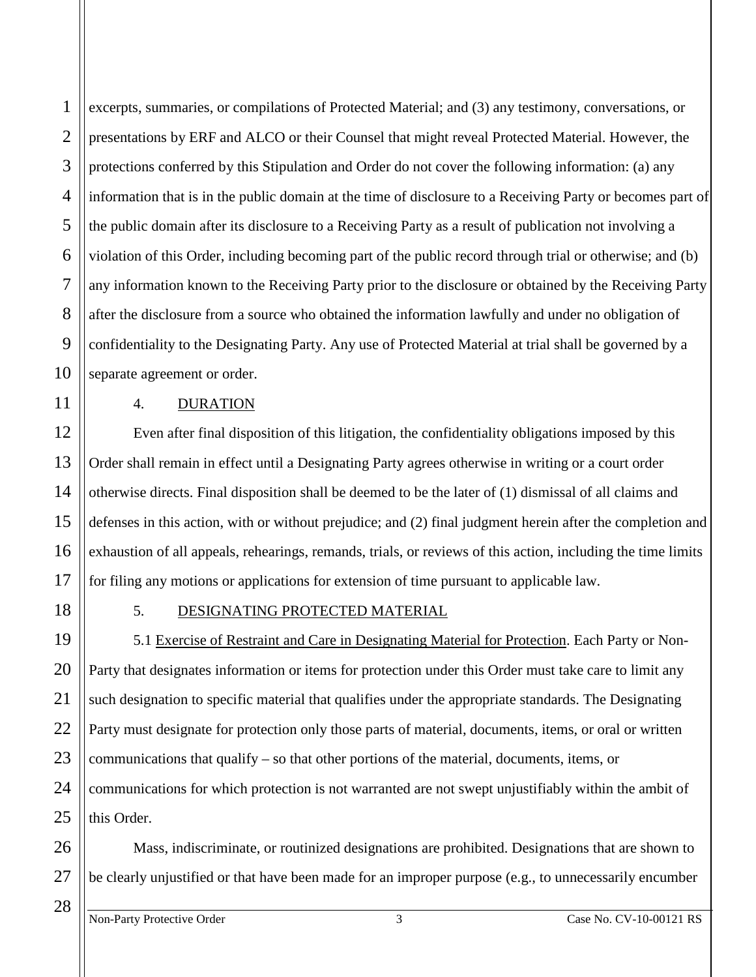4 5 6 7 8 9 10 excerpts, summaries, or compilations of Protected Material; and (3) any testimony, conversations, or presentations by ERF and ALCO or their Counsel that might reveal Protected Material. However, the protections conferred by this Stipulation and Order do not cover the following information: (a) any information that is in the public domain at the time of disclosure to a Receiving Party or becomes part of the public domain after its disclosure to a Receiving Party as a result of publication not involving a violation of this Order, including becoming part of the public record through trial or otherwise; and (b) any information known to the Receiving Party prior to the disclosure or obtained by the Receiving Party after the disclosure from a source who obtained the information lawfully and under no obligation of confidentiality to the Designating Party. Any use of Protected Material at trial shall be governed by a separate agreement or order.

# 4. DURATION

Even after final disposition of this litigation, the confidentiality obligations imposed by this Order shall remain in effect until a Designating Party agrees otherwise in writing or a court order otherwise directs. Final disposition shall be deemed to be the later of (1) dismissal of all claims and defenses in this action, with or without prejudice; and (2) final judgment herein after the completion and exhaustion of all appeals, rehearings, remands, trials, or reviews of this action, including the time limits for filing any motions or applications for extension of time pursuant to applicable law.

1

2

3

11

12

13

14

15

16

17

18

19

20

21

22

23

24

25

26

27

### 5. DESIGNATING PROTECTED MATERIAL

5.1 Exercise of Restraint and Care in Designating Material for Protection. Each Party or Non-Party that designates information or items for protection under this Order must take care to limit any such designation to specific material that qualifies under the appropriate standards. The Designating Party must designate for protection only those parts of material, documents, items, or oral or written communications that qualify – so that other portions of the material, documents, items, or communications for which protection is not warranted are not swept unjustifiably within the ambit of this Order.

Mass, indiscriminate, or routinized designations are prohibited. Designations that are shown to be clearly unjustified or that have been made for an improper purpose (e.g., to unnecessarily encumber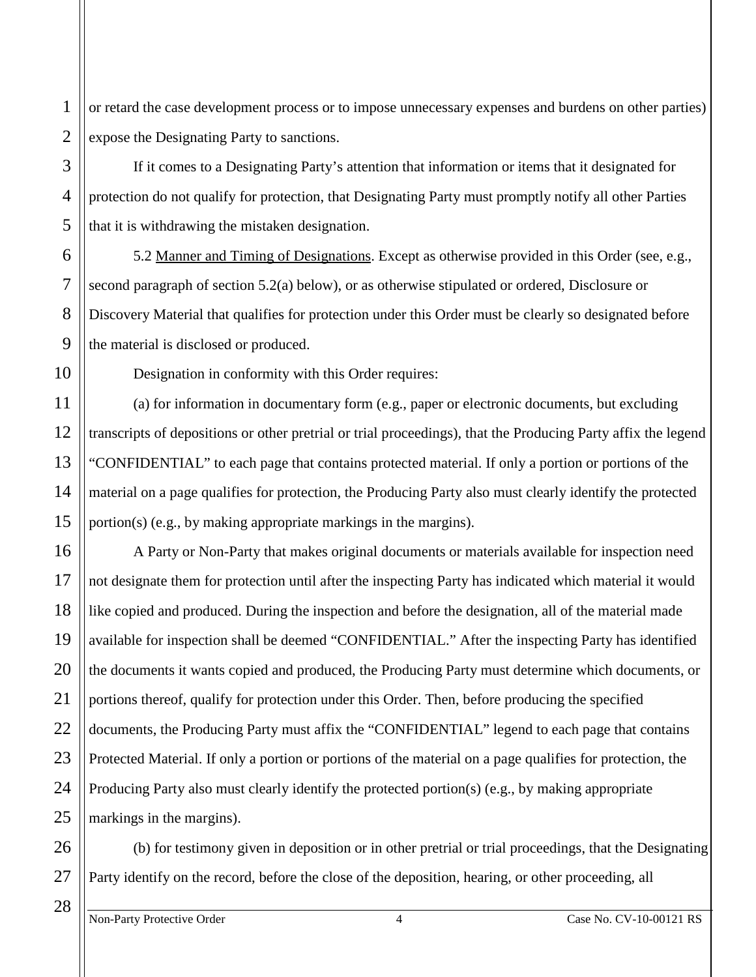1 or retard the case development process or to impose unnecessary expenses and burdens on other parties) expose the Designating Party to sanctions.

If it comes to a Designating Party's attention that information or items that it designated for protection do not qualify for protection, that Designating Party must promptly notify all other Parties that it is withdrawing the mistaken designation.

 5.2 Manner and Timing of Designations . Except as otherwise provided in this Order (see, e.g., second paragraph of section 5.2(a) below), or as otherwise stipulated or ordered, Disclosure or Discovery Material that qualifies for protection under this Order must be clearly so designated before the material is disclosed or produced.

Designation in conformity with this Order requires:

 (a) for information in documentary form (e.g., paper or electronic documents, but excluding transcripts of depositions or other pretrial or trial proceedings), that the Producing Party affix the legend "CONFIDENTIAL" to each page that contains protected material. If only a portion or portions of the material on a page qualifies for protection, the Producing Party also must clearly identify the protected portion(s) (e.g., by making appropriate markings in the margins).

A Party or Non-Party that makes original documents or materials available for inspection need not designate them for protection until after the inspecting Party has indicated which material it would like copied and produced. During the inspection and before the designation, all of the material made available for inspection shall be deemed "CONFIDENTIAL." After the inspecting Party has identified the documents it wants copied and produced, the Producing Party must determine which documents, or portions thereof, qualify for protection under this Order. Then, before producing the specified documents, the Producing Party must affix the "CONFIDENTIAL" legend to each page that contains Protected Material. If only a portion or portions of the material on a page qualifies for protection, the Producing Party also must clearly identify the protected portion(s) (e.g., by making appropriate markings in the margins).

 (b) for testimony given in deposition or in other pretrial or trial proceedings, that the Designating Party identify on the record, before the close of the deposition, hearing, or other proceeding, all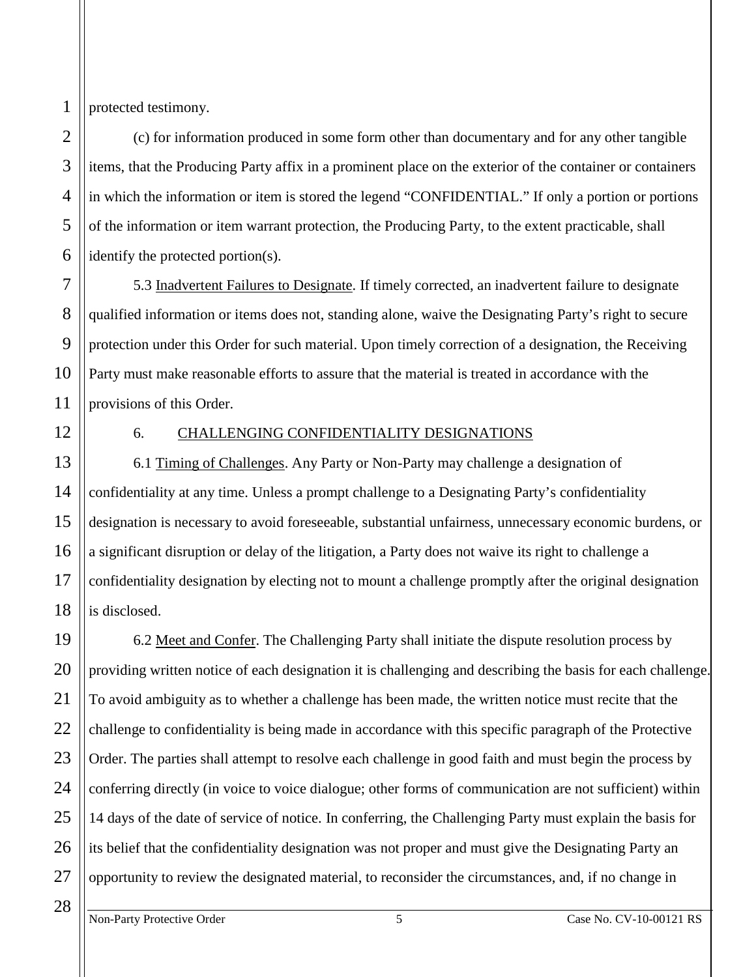protected testimony.

 (c) for information produced in some form other than documentary and for any other tangible items, that the Producing Party affix in a prominent place on the exterior of the container or containers in which the information or item is stored the legend "CONFIDENTIAL." If only a portion or portions of the information or item warrant protection, the Producing Party, to the extent practicable, shall identify the protected portion(s).

 5.3 Inadvertent Failures to Designate. If timely corrected, an inadvertent failure to designate qualified information or items does not, standing alone, waive the Designating Party's right to secure protection under this Order for such material. Upon timely correction of a designation, the Receiving Party must make reasonable efforts to assure that the material is treated in accordance with the provisions of this Order.

#### 6. CHALLENGING CONFIDENTIALITY DESIGNATIONS

 6.1 Timing of Challenges . Any Party or Non-Party may challenge a designation of confidentiality at any time. Unless a prompt challenge to a Designating Party's confidentiality designation is necessary to avoid foreseeable, substantial unfairness, unnecessary economic burdens, or a significant disruption or delay of the litigation, a Party does not waive its right to challenge a confidentiality designation by electing not to mount a challenge promptly after the original designation is disclosed.

6.2 Meet and Confer. The Challenging Party shall initiate the dispute resolution process by providing written notice of each designation it is challenging and describing the basis for each challenge. To avoid ambiguity as to whether a challenge has been made, the written notice must recite that the challenge to confidentiality is being made in accordance with this specific paragraph of the Protective Order. The parties shall attempt to resolve each challenge in good faith and must begin the process by conferring directly (in voice to voice dialogue; other forms of communication are not sufficient) within 14 days of the date of service of notice. In conferring, the Challenging Party must explain the basis for its belief that the confidentiality designation was not proper and must give the Designating Party an opportunity to review the designated material, to reconsider the circumstances, and, if no change in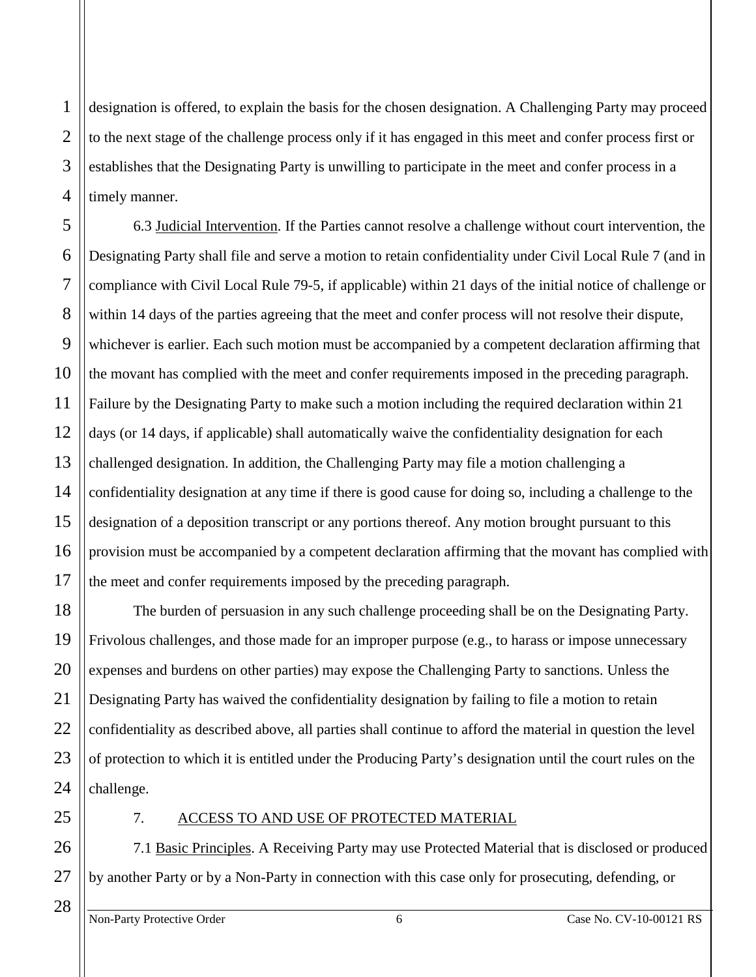designation is offered, to explain the basis for the chosen designation. A Challenging Party may proceed to the next stage of the challenge process only if it has engaged in this meet and confer process first or establishes that the Designating Party is unwilling to participate in the meet and confer process in a timely manner.

 6.3 Judicial Intervention. If the Parties cannot resolve a challenge without court intervention, the Designating Party shall file and serve a motion to retain confidentiality under Civil Local Rule 7 (and in compliance with Civil Local Rule 79-5, if applicable) within 21 days of the initial notice of challenge or within 14 days of the parties agreeing that the meet and confer process will not resolve their dispute, whichever is earlier. Each such motion must be accompanied by a competent declaration affirming that the movant has complied with the meet and confer requirements imposed in the preceding paragraph. Failure by the Designating Party to make such a motion including the required declaration within 21 days (or 14 days, if applicable) shall automatically waive the confidentiality designation for each challenged designation. In addition, the Challenging Party may file a motion challenging a confidentiality designation at any time if there is good cause for doing so, including a challenge to the designation of a deposition transcript or any portions thereof. Any motion brought pursuant to this provision must be accompanied by a competent declaration affirming that the movant has complied with the meet and confer requirements imposed by the preceding paragraph.

 The burden of persuasion in any such challenge proceeding shall be on the Designating Party. Frivolous challenges, and those made for an improper purpose (e.g., to harass or impose unnecessary expenses and burdens on other parties) may expose the Challenging Party to sanctions. Unless the Designating Party has waived the confidentiality designation by failing to file a motion to retain confidentiality as described above, all parties shall continue to afford the material in question the level of protection to which it is entitled under the Producing Party's designation until the court rules on the challenge.

7.

#### ACCESS TO AND USE OF PROTECTED MATERIAL

 7.1 Basic Principles. A Receiving Party may use Protected Material that is disclosed or produced by another Party or by a Non-Party in connection with this case only for prosecuting, defending, or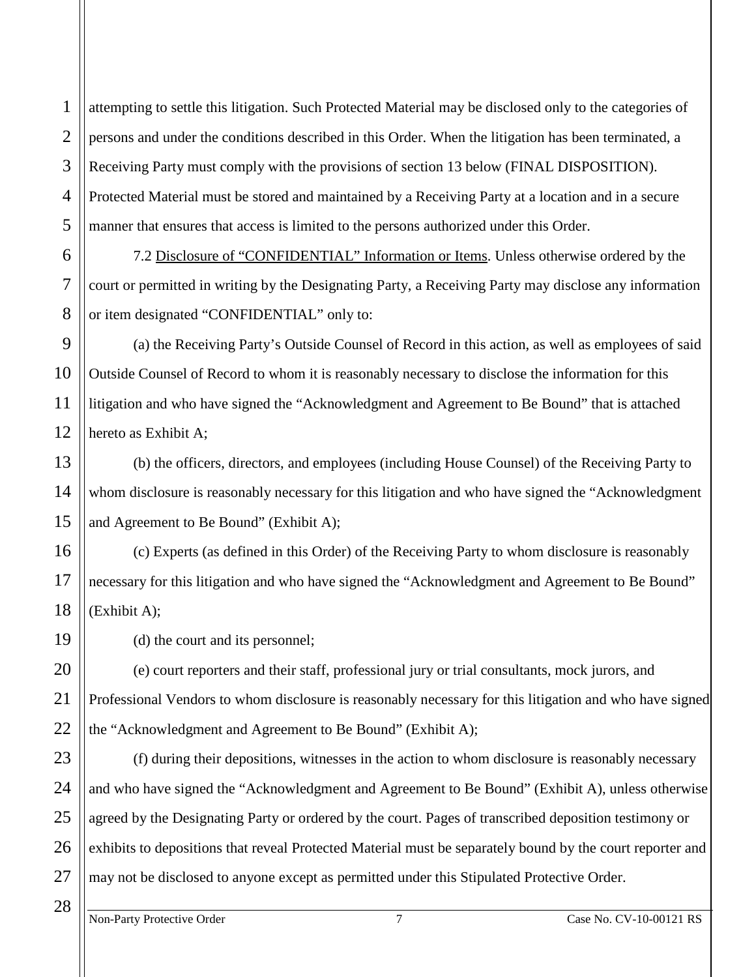attempting to settle this litigation. Such Protected Material may be disclosed only to the categories of persons and under the conditions described in this Order. When the litigation has been terminated, a Receiving Party must comply with the provisions of section 13 below (FINAL DISPOSITION). Protected Material must be stored and maintained by a Receiving Party at a location and in a secure manner that ensures that access is limited to the persons authorized under this Order.

 7.2 Disclosure of "CONFIDENTIAL" Information or Items. Unless otherwise ordered by the court or permitted in writing by the Designating Party, a Receiving Party may disclose any information or item designated "CONFIDENTIAL" only to:

(a) the Receiving Party's Outside Counsel of Record in this action, as well as employees of said Outside Counsel of Record to whom it is reasonably necessary to disclose the information for this litigation and who have signed the "Acknowledgment and Agreement to Be Bound" that is attached hereto as Exhibit A;

 (b) the officers, directors, and employees (including House Counsel) of the Receiving Party to whom disclosure is reasonably necessary for this litigation and who have signed the "Acknowledgment and Agreement to Be Bound" (Exhibit A);

(c) Experts (as defined in this Order) of the Receiving Party to whom disclosure is reasonably necessary for this litigation and who have signed the "Acknowledgment and Agreement to Be Bound" (Exhibit A);

(d) the court and its personnel;

 (e) court reporters and their staff, professional jury or trial consultants, mock jurors, and Professional Vendors to whom disclosure is reasonably necessary for this litigation and who have signed the "Acknowledgment and Agreement to Be Bound" (Exhibit A);

 (f) during their depositions, witnesses in the action to whom disclosure is reasonably necessary and who have signed the "Acknowledgment and Agreement to Be Bound" (Exhibit A), unless otherwise agreed by the Designating Party or ordered by the court. Pages of transcribed deposition testimony or exhibits to depositions that reveal Protected Material must be separately bound by the court reporter and may not be disclosed to anyone except as permitted under this Stipulated Protective Order.

1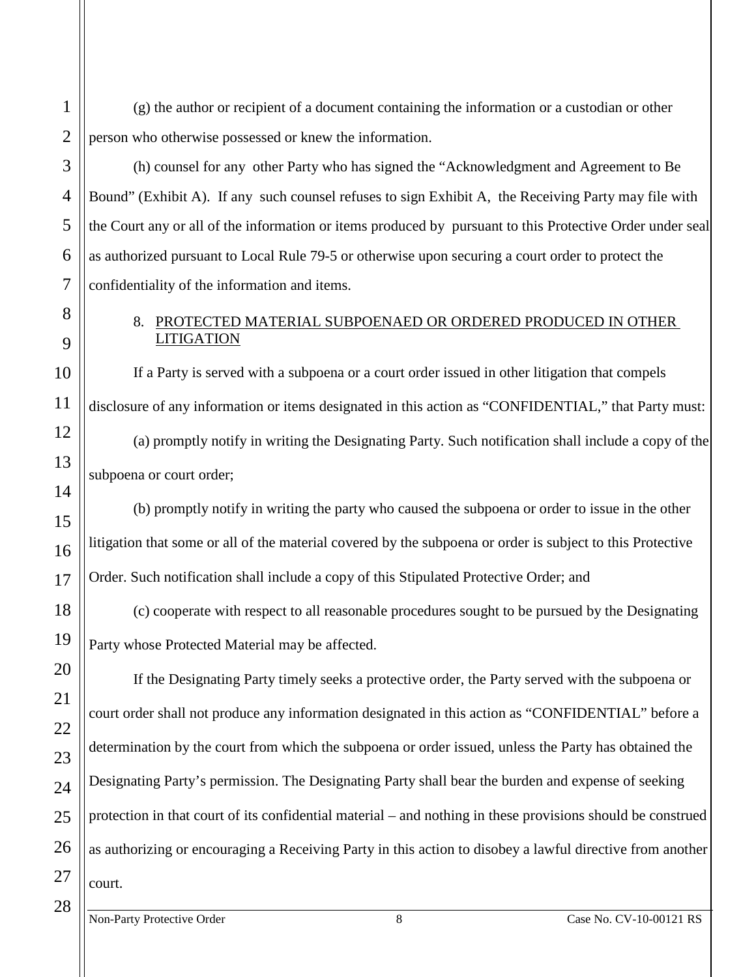(g) the author or recipient of a document containing the information or a custodian or other person who otherwise possessed or knew the information.

 (h) counsel for any other Party who has signed the "Acknowledgment and Agreement to Be Bound" (Exhibit A). If any such counsel refuses to sign Exhibit A, the Receiving Party may file with the Court any or all of the information or items produced by pursuant to this Protective Order under seal as authorized pursuant to Local Rule 79-5 or otherwise upon securing a court order to protect the confidentiality of the information and items.

### 8. PROTECTED MATERIAL SUBPOENAED OR ORDERED PRODUCED IN OTHER LITIGATION

 If a Party is served with a subpoena or a court order issued in other litigation that compels disclosure of any information or items designated in this action as "CONFIDENTIAL," that Party must:

 (a) promptly notify in writing the Designating Party. Such notification shall include a copy of the subpoena or court order;

 (b) promptly notify in writing the party who caused the subpoena or order to issue in the other litigation that some or all of the material covered by the subpoena or order is subject to this Protective Order. Such notification shall include a copy of this Stipulated Protective Order; and

 (c) cooperate with respect to all reasonable procedures sought to be pursued by the Designating Party whose Protected Material may be affected.

 If the Designating Party timely seeks a protective order, the Party served with the subpoena or court order shall not produce any information designated in this action as "CONFIDENTIAL" before a determination by the court from which the subpoena or order issued, unless the Party has obtained the Designating Party's permission. The Designating Party shall bear the burden and expense of seeking protection in that court of its confidential material – and nothing in these provisions should be construed as authorizing or encouraging a Receiving Party in this action to disobey a lawful directive from another court.

28

1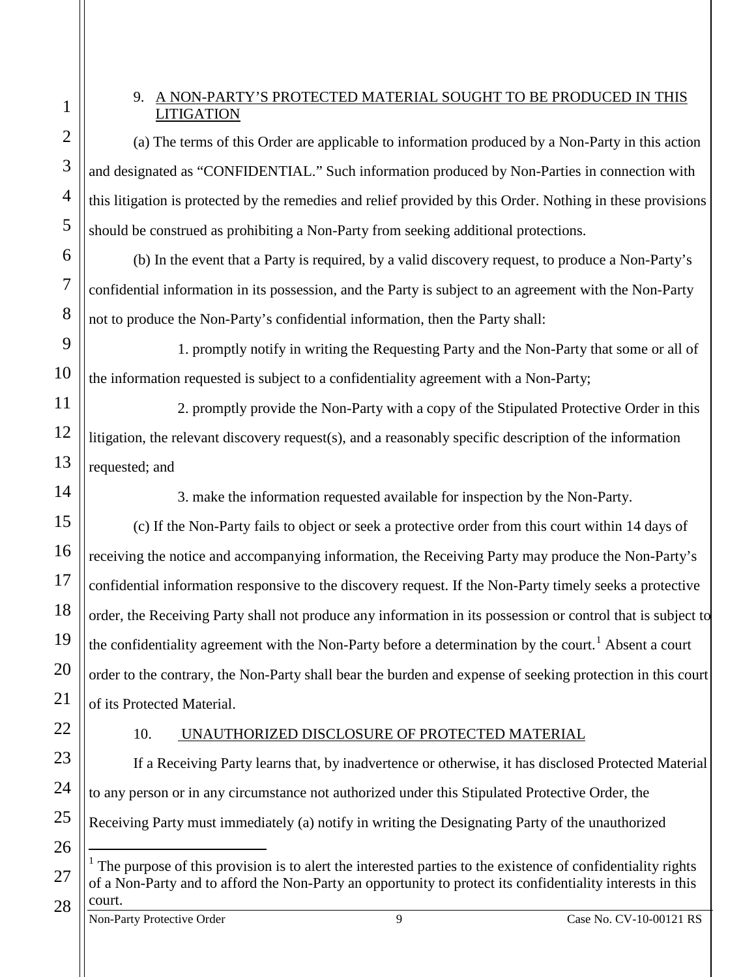# 9. A NON-PARTY'S PROTECTED MATERIAL SOUGHT TO BE PRODUCED IN THIS LITIGATION

(a) The terms of this Order are applicable to information produced by a Non-Party in this action and designated as "CONFIDENTIAL." Such information produced by Non-Parties in connection with this litigation is protected by the remedies and relief provided by this Order. Nothing in these provisions should be construed as prohibiting a Non-Party from seeking additional protections.

 (b) In the event that a Party is required, by a valid discovery request, to produce a Non-Party's confidential information in its possession, and the Party is subject to an agreement with the Non-Party not to produce the Non-Party's confidential information, then the Party shall:

 1. promptly notify in writing the Requesting Party and the Non-Party that some or all of the information requested is subject to a confidentiality agreement with a Non-Party;

 2. promptly provide the Non-Party with a copy of the Stipulated Protective Order in this litigation, the relevant discovery request(s), and a reasonably specific description of the information requested; and

3. make the information requested available for inspection by the Non-Party.

(c) If the Non-Party fails to object or seek a protective order from this court within 14 days of receiving the notice and accompanying information, the Receiving Party may produce the Non-Party's confidential information responsive to the discovery request. If the Non-Party timely seeks a protective order, the Receiving Party shall not produce any information in its possession or control that is subject to the confidentiality agreement with the Non-Party before a determination by the court.<sup>1</sup> Absent a court order to the contrary, the Non-Party shall bear the burden and expense of seeking protection in this court of its Protected Material.

10.

# UNAUTHORIZED DISCLOSURE OF PROTECTED MATERIAL

If a Receiving Party learns that, by inadvertence or otherwise, it has disclosed Protected Material to any person or in any circumstance not authorized under this Stipulated Protective Order, the Receiving Party must immediately (a) notify in writing the Designating Party of the unauthorized

 $\overline{a}$  $<sup>1</sup>$  The purpose of this provision is to alert the interested parties to the existence of confidentiality rights</sup> of a Non-Party and to afford the Non-Party an opportunity to protect its confidentiality interests in this court.

1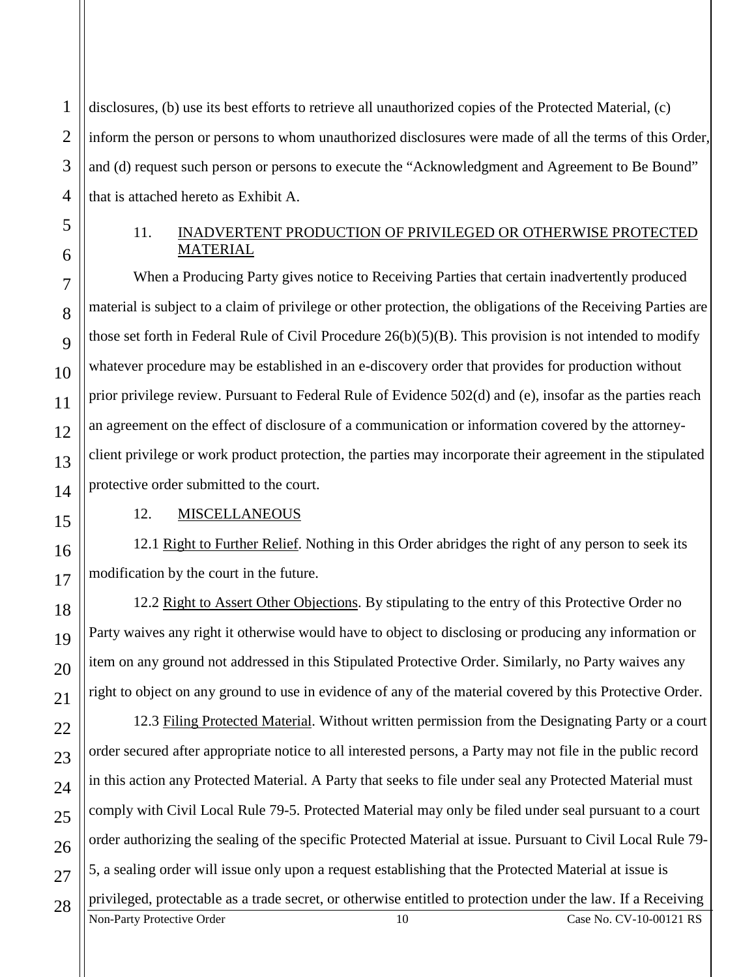disclosures, (b) use its best efforts to retrieve all unauthorized copies of the Protected Material, (c) inform the person or persons to whom unauthorized disclosures were made of all the terms of this Order, and (d) request such person or persons to execute the "Acknowledgment and Agreement to Be Bound" that is attached hereto as Exhibit A.

#### 11. INADVERTENT PRODUCTION OF PRIVILEGED OR OTHERWISE PROTECTED MATERIAL

 When a Producing Party gives notice to Receiving Parties that certain inadvertently produced material is subject to a claim of privilege or other protection, the obligations of the Receiving Parties are those set forth in Federal Rule of Civil Procedure  $26(b)(5)(B)$ . This provision is not intended to modify whatever procedure may be established in an e-discovery order that provides for production without prior privilege review. Pursuant to Federal Rule of Evidence 502(d) and (e), insofar as the parties reach an agreement on the effect of disclosure of a communication or information covered by the attorneyclient privilege or work product protection, the parties may incorporate their agreement in the stipulated protective order submitted to the court.

# 12. MISCELLANEOUS

 12.1 Right to Further Relief. Nothing in this Order abridges the right of any person to seek its modification by the court in the future.

12.2 Right to Assert Other Objections. By stipulating to the entry of this Protective Order no Party waives any right it otherwise would have to object to disclosing or producing any information or item on any ground not addressed in this Stipulated Protective Order. Similarly, no Party waives any right to object on any ground to use in evidence of any of the material covered by this Protective Order.

12.3 Filing Protected Material. Without written permission from the Designating Party or a court order secured after appropriate notice to all interested persons, a Party may not file in the public record in this action any Protected Material. A Party that seeks to file under seal any Protected Material must comply with Civil Local Rule 79-5. Protected Material may only be filed under seal pursuant to a court order authorizing the sealing of the specific Protected Material at issue. Pursuant to Civil Local Rule 79- 5, a sealing order will issue only upon a request establishing that the Protected Material at issue is

Non-Party Protective Order 10 10 Case No. CV-10-00121 RS privileged, protectable as a trade secret, or otherwise entitled to protection under the law. If a Receiving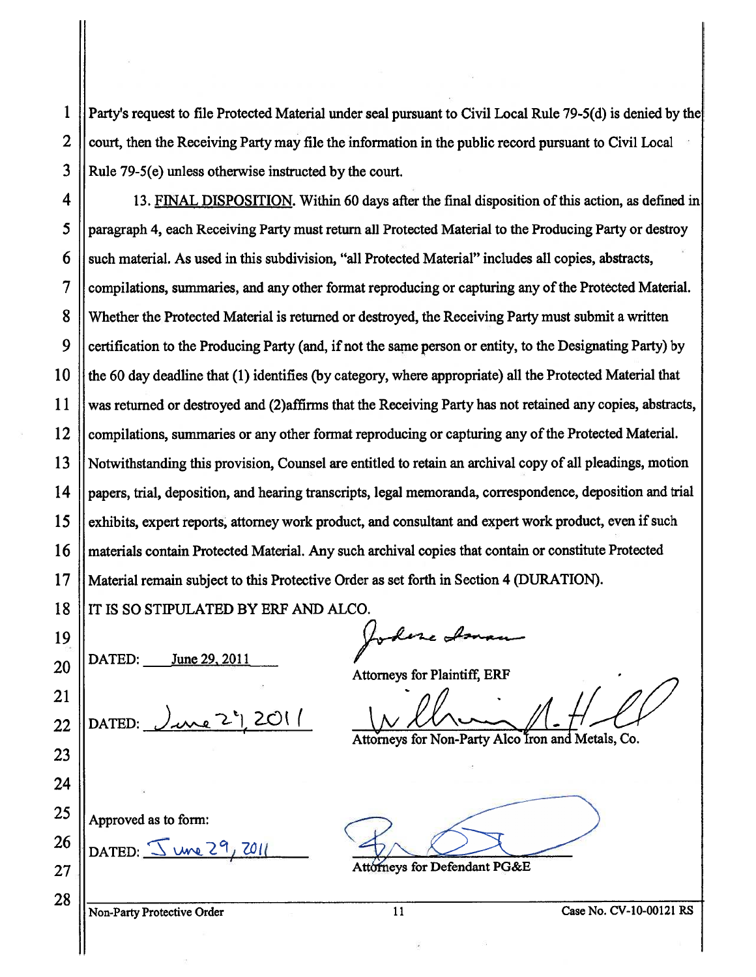Party's request to file Protected Material under seal pursuant to Civil Local Rule 79-5(d) is denied by the court, then the Receiving Party may file the information in the public record pursuant to Civil Local Rule 79-5(e) unless otherwise instructed by the court.

13. FINAL DISPOSITION. Within 60 days after the final disposition of this action, as defined in paragraph 4, each Receiving Party must return all Protected Material to the Producing Party or destroy such material. As used in this subdivision, "all Protected Material" includes all copies, abstracts, compilations, summaries, and any other format reproducing or capturing any of the Protected Material. Whether the Protected Material is returned or destroyed, the Receiving Party must submit a written certification to the Producing Party (and, if not the same person or entity, to the Designating Party) by the 60 day deadline that (1) identifies (by category, where appropriate) all the Protected Material that was returned or destroyed and (2) affirms that the Receiving Party has not retained any copies, abstracts, compilations, summaries or any other format reproducing or capturing any of the Protected Material. Notwithstanding this provision, Counsel are entitled to retain an archival copy of all pleadings, motion papers, trial, deposition, and hearing transcripts, legal memoranda, correspondence, deposition and trial exhibits, expert reports, attorney work product, and consultant and expert work product, even if such materials contain Protected Material. Any such archival copies that contain or constitute Protected Material remain subject to this Protective Order as set forth in Section 4 (DURATION).

IT IS SO STIPULATED BY ERF AND ALCO.

 $\overline{7}$ 8 9 10 11 12 13 14 15 16 17 18 19 20 21 22 23 24 25 26 27 28

 $\mathbf{1}$ 

 $\overline{2}$ 

 $\overline{\mathbf{3}}$ 

4

5

6

June 29, 2011 **DATED:** 

DATED: <u>June</u> 2°, 201

Vokere Im

**Attorneys for Plaintiff, ERF** 

Attorneys for Non-Party Alco Iron and Metals, Co.

Attorneys for Defendant PG&E

Non-Party Protective Order

Approved as to form:

DATED:  $\sqrt{29,201}$ 

Case No. CV-10-00121 RS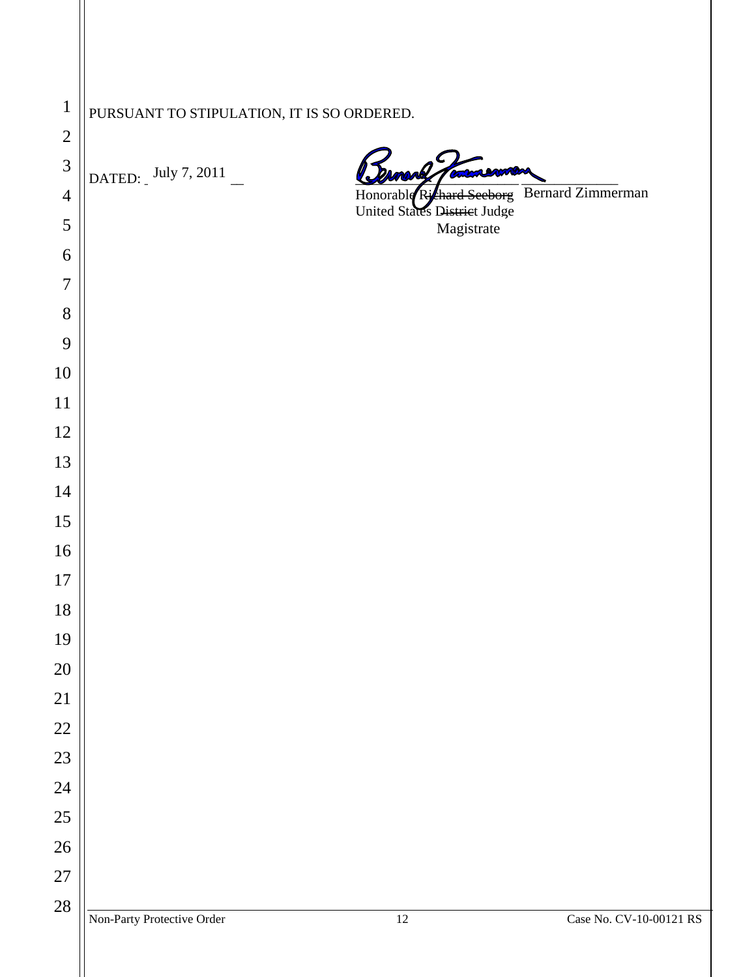| $\mathbf{1}$   | PURSUANT TO STIPULATION, IT IS SO ORDERED.            |                                                                             |                         |
|----------------|-------------------------------------------------------|-----------------------------------------------------------------------------|-------------------------|
| $\overline{2}$ |                                                       |                                                                             |                         |
| 3              | DATED: $\sqrt{\frac{\text{July } 7,2011}{\text{ }}}}$ |                                                                             |                         |
| $\overline{4}$ |                                                       | Honorable Richard Seeborg Bernard Zimmerman<br>United States District Judge |                         |
| 5              |                                                       | Magistrate                                                                  |                         |
| 6              |                                                       |                                                                             |                         |
| 7              |                                                       |                                                                             |                         |
| 8              |                                                       |                                                                             |                         |
| 9              |                                                       |                                                                             |                         |
| 10             |                                                       |                                                                             |                         |
| 11             |                                                       |                                                                             |                         |
| 12             |                                                       |                                                                             |                         |
| 13             |                                                       |                                                                             |                         |
| 14             |                                                       |                                                                             |                         |
| 15<br>16       |                                                       |                                                                             |                         |
| 17             |                                                       |                                                                             |                         |
| 18             |                                                       |                                                                             |                         |
| 19             |                                                       |                                                                             |                         |
| 20             |                                                       |                                                                             |                         |
| 21             |                                                       |                                                                             |                         |
| 22             |                                                       |                                                                             |                         |
| 23             |                                                       |                                                                             |                         |
| 24             |                                                       |                                                                             |                         |
| 25             |                                                       |                                                                             |                         |
| 26             |                                                       |                                                                             |                         |
| 27             |                                                       |                                                                             |                         |
| 28             | Non-Party Protective Order                            | $12\,$                                                                      | Case No. CV-10-00121 RS |
|                |                                                       |                                                                             |                         |